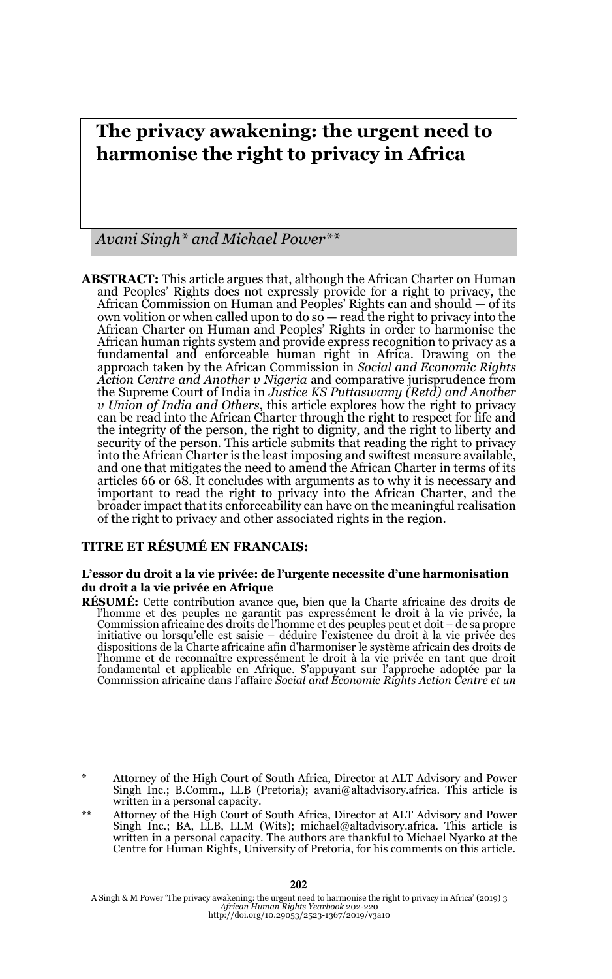# **The privacy awakening: the urgent need to harmonise the right to privacy in Africa**

*Avani Singh\* and Michael Power\*\**

**ABSTRACT:** This article argues that, although the African Charter on Human and Peoples' Rights does not expressly provide for a right to privacy, the African Commission on Human and Peoples' Rights can and should — of its own volition or when called upon to do so — read the right to privacy into the African Charter on Human and Peoples' Rights in order to harmonise the African human rights system and provide express recognition to privacy as a fundamental and enforceable human right in Africa. Drawing on the approach taken by the African Commission in *Social and Economic Rights Action Centre and Another v Nigeria* and comparative jurisprudence from the Supreme Court of India in *Justice KS Puttaswamy (Retd) and Another v Union of India and Others*, this article explores how the right to privacy can be read into the African Charter through the right to respect for life and the integrity of the person, the right to dignity, and the right to liberty and security of the person. This article submits that reading the right to privacy into the African Charter is the least imposing and swiftest measure available, and one that mitigates the need to amend the African Charter in terms of its articles 66 or 68. It concludes with arguments as to why it is necessary and important to read the right to privacy into the African Charter, and the broader impact that its enforceability can have on the meaningful realisation of the right to privacy and other associated rights in the region.

#### **TITRE ET RÉSUMÉ EN FRANCAIS:**

#### **L'essor du droit a la vie privée: de l'urgente necessite d'une harmonisation du droit a la vie privée en Afrique**

**RÉSUMÉ:** Cette contribution avance que, bien que la Charte africaine des droits de l'homme et des peuples ne garantit pas expressément le droit à la vie privée, la Commission africaine des droits de l'homme et des peuples peut et doit – de sa propre initiative ou lorsqu'elle est saisie – déduire l'existence du droit à la vie privée des dispositions de la Charte africaine afin d'harmoniser le système africain des droits de l'homme et de reconnaître expressément le droit à la vie privée en tant que droit fondamental et applicable en Afrique. S'appuyant sur l'approche adoptée par la Commission africaine dans l'affaire *Social and Economic Rights Action Centre et un*

\*\* Attorney of the High Court of South Africa, Director at ALT Advisory and Power Singh Inc.; BA, LLB, LLM (Wits); michael@altadvisory.africa. This article is written in a personal capacity. The authors are thankful to Michael Nyarko at the Centre for Human Rights, University of Pretoria, for his comments on this article.

A Singh & M Power 'The privacy awakening: the urgent need to harmonise the right to privacy in Africa' (2019) 3 *African Human Rights Yearbook* 202-220 http://doi.org/10.29053/2523-1367/2019/v3a10

Attorney of the High Court of South Africa, Director at ALT Advisory and Power Singh Inc.; B.Comm., LLB (Pretoria); avani@altadvisory.africa. This article is written in a personal capacity.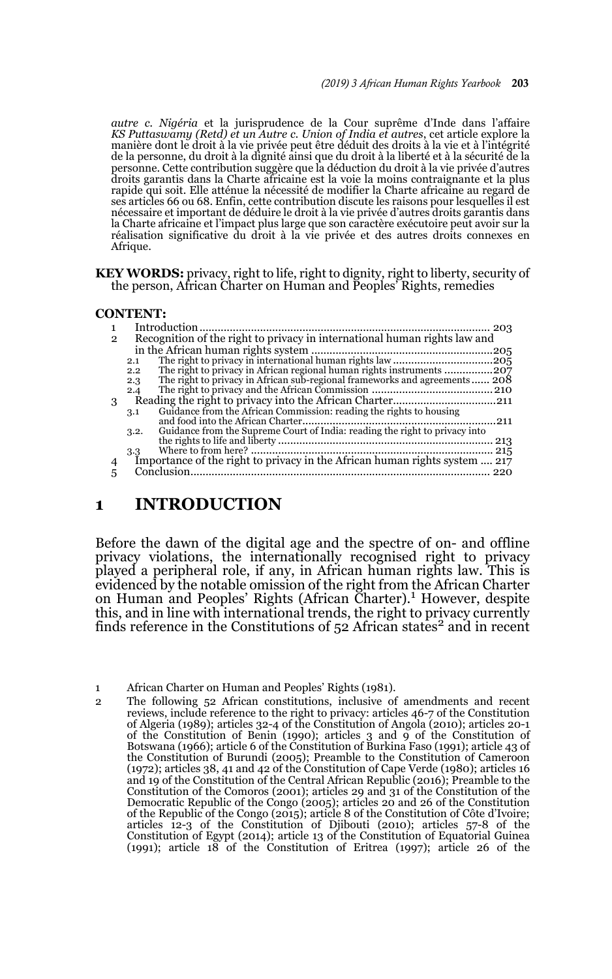*autre c. Nigéria* et la jurisprudence de la Cour suprême d'Inde dans l'affaire *KS Puttaswamy (Retd) et un Autre c. Union of India et autres*, cet article explore la manière dont le droit à la vie privée peut être déduit des droits à la vie et à l'intégrité de la personne, du droit à la dignité ainsi que du droit à la liberté et à la sécurité de la personne. Cette contribution suggère que la déduction du droit à la vie privée d'autres droits garantis dans la Charte africaine est la voie la moins contraignante et la plus rapide qui soit. Elle atténue la nécessité de modifier la Charte africaine au regard de ses articles 66 ou 68. Enfin, cette contribution discute les raisons pour lesquelles il est nécessaire et important de déduire le droit à la vie privée d'autres droits garantis dans la Charte africaine et l'impact plus large que son caractère exécutoire peut avoir sur la réalisation significative du droit à la vie privée et des autres droits connexes en Afrique.

**KEY WORDS:** privacy, right to life, right to dignity, right to liberty, security of the person, African Charter on Human and Peoples' Rights, remedies

#### **CONTENT:**

| 2 | Recognition of the right to privacy in international human rights law and          |                                                                             |  |
|---|------------------------------------------------------------------------------------|-----------------------------------------------------------------------------|--|
|   |                                                                                    |                                                                             |  |
|   | 2.1                                                                                |                                                                             |  |
|   | 2.2                                                                                | The right to privacy in African regional human rights instruments 207       |  |
|   | 2.3                                                                                | The right to privacy in African sub-regional frameworks and agreements  208 |  |
|   | 2.4                                                                                |                                                                             |  |
| 3 |                                                                                    |                                                                             |  |
|   | 3.1                                                                                | Guidance from the African Commission: reading the rights to housing         |  |
|   |                                                                                    |                                                                             |  |
|   | 3.2.                                                                               | Guidance from the Supreme Court of India: reading the right to privacy into |  |
|   |                                                                                    |                                                                             |  |
|   | 3.3                                                                                |                                                                             |  |
|   | Importance of the right to privacy in the African human rights system $\ldots$ 217 |                                                                             |  |
|   |                                                                                    |                                                                             |  |
|   |                                                                                    |                                                                             |  |

# **1 INTRODUCTION**

Before the dawn of the digital age and the spectre of on- and offline privacy violations, the internationally recognised right to privacy played a peripheral role, if any, in African human rights law. This is evidenced by the notable omission of the right from the African Charter on Human and Peoples' Rights (African Charter).<sup>1</sup> However, despite this, and in line with international trends, the right to privacy currently finds reference in the Constitutions of 52 African states<sup>2</sup> and in recent

1 African Charter on Human and Peoples' Rights (1981).

<sup>2</sup> The following 52 African constitutions, inclusive of amendments and recent reviews, include reference to the right to privacy: articles 46-7 of the Constitution of Algeria (1989); articles 32-4 of the Constitution of Angola (2010); articles 20-1 of the Constitution of Benin (1990); articles 3 and 9 of the Constitution of Botswana (1966); article 6 of the Constitution of Burkina Faso (1991); article 43 of the Constitution of Burundi (2005); Preamble to the Constitution of Cameroon (1972); articles 38, 41 and 42 of the Constitution of Cape Verde (1980); articles 16 and 19 of the Constitution of the Central African Republic (2016); Preamble to the Constitution of the Comoros (2001); articles 29 and 31 of the Constitution of the Democratic Republic of the Congo (2005); articles 20 and 26 of the Constitution of the Republic of the Congo (2015); article 8 of the Constitution of Côte d'Ivoire; articles 12-3 of the Constitution of Djibouti (2010); articles 57-8 of the Constitution of Egypt (2014); article 13 of the Constitution of Equatorial Guinea (1991); article 18 of the Constitution of Eritrea (1997); article 26 of the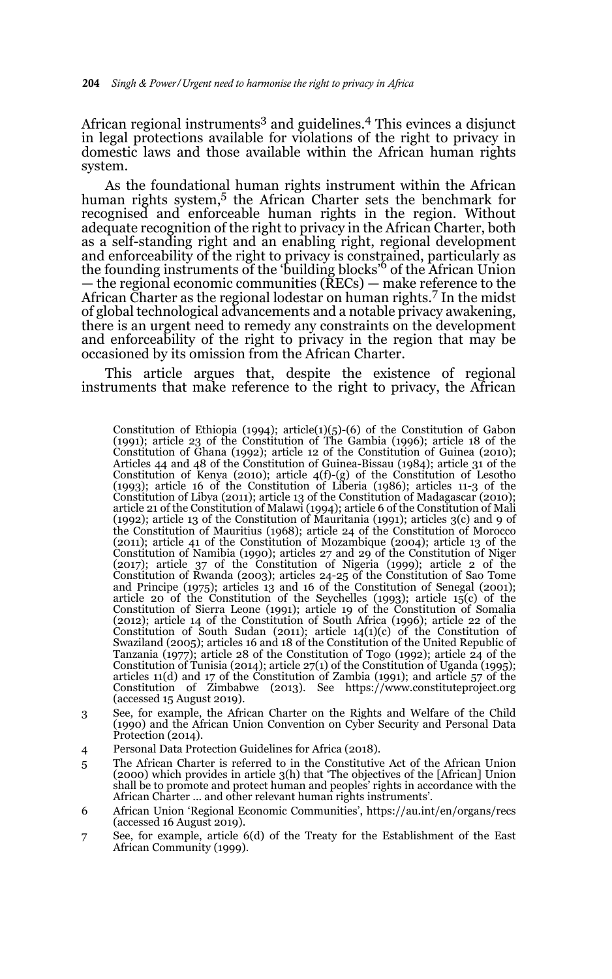African regional instruments<sup>3</sup> and guidelines.<sup>4</sup> This evinces a disjunct in legal protections available for violations of the right to privacy in domestic laws and those available within the African human rights system.

As the foundational human rights instrument within the African human rights system,<sup>5</sup> the African Charter sets the benchmark for recognised and enforceable human rights in the region. Without adequate recognition of the right to privacy in the African Charter, both as a self-standing right and an enabling right, regional development and enforceability of the right to privacy is constrained, particularly as<br>the founding instruments of the 'building blocks'<sup>6</sup> of the African Union — the regional economic communities (RECs) — make reference to the African Charter as the regional lodestar on human rights.<sup>7</sup> In the midst of global technological advancements and a notable privacy awakening, there is an urgent need to remedy any constraints on the development and enforceability of the right to privacy in the region that may be occasioned by its omission from the African Charter.

This article argues that, despite the existence of regional instruments that make reference to the right to privacy, the African

- 3 See, for example, the African Charter on the Rights and Welfare of the Child (1990) and the African Union Convention on Cyber Security and Personal Data Protection (2014).
- 4 Personal Data Protection Guidelines for Africa (2018).
- 5 The African Charter is referred to in the Constitutive Act of the African Union (2000) which provides in article 3(h) that 'The objectives of the [African] Union shall be to promote and protect human and peoples' rights in accordance with the African Charter ... and other relevant human rights instruments'.
- 6 African Union 'Regional Economic Communities', https://au.int/en/organs/recs (accessed 16 August 2019).
- 7 See, for example, article 6(d) of the Treaty for the Establishment of the East African Community (1999).

Constitution of Ethiopia (1994); article(1)(5)-(6) of the Constitution of Gabon (1991); article 23 of the Constitution of The Gambia (1996); article 18 of the Constitution of Ghana (1992); article 12 of the Constitution of Guinea (2010); Articles 44 and 48 of the Constitution of Guinea-Bissau (1984); article 31 of the Constitution of Kenya (2010); article 4(f)-(g) of the Constitution of Lesotho (1993); article 16 of the Constitution of Liberia (1986); articles 11-3 of the Constitution of Libya (2011); article 13 of the Constitution of Madagascar (2010); article 21 of the Constitution of Malawi (1994); article 6 of the Constitution of Mali (1992); article 13 of the Constitution of Mauritania (1991); articles 3(c) and 9 of the Constitution of Mauritius (1968); article 24 of the Constitution of Morocco (2011); article 41 of the Constitution of Mozambique (2004); article 13 of the Constitution of Namibia (1990); articles 27 and 29 of the Constitution of Niger (2017); article 37 of the Constitution of Nigeria (1999); article 2 of the Constitution of Rwanda (2003); articles 24-25 of the Constitution of Sao Tome and Principe (1975); articles 13 and 16 of the Constitution of Senegal (2001); article 20 of the Constitution of the Seychelles (1993); article 15(c) of the Constitution of Sierra Leone (1991); article 19 of the Constitution of Somalia  $(2012)$ ; article 14 of the Constitution of South Africa (1996); article 22 of the Constitution of South Sudan (2011); article 14(1)(c) of the Constitution of Swaziland (2005); articles 16 and 18 of the Constitution of th Tanzania (1977); article 28 of the Constitution of Togo (1992); article 24 of the Constitution of Tunisia (2014); article 27(1) of the Constitution of Uganda (1995); articles 11(d) and 17 of the Constitution of Zambia (1991); and article 57 of the Constitution of Zimbabwe (2013). See https://www.constituteproject.org (accessed 15 August 2019).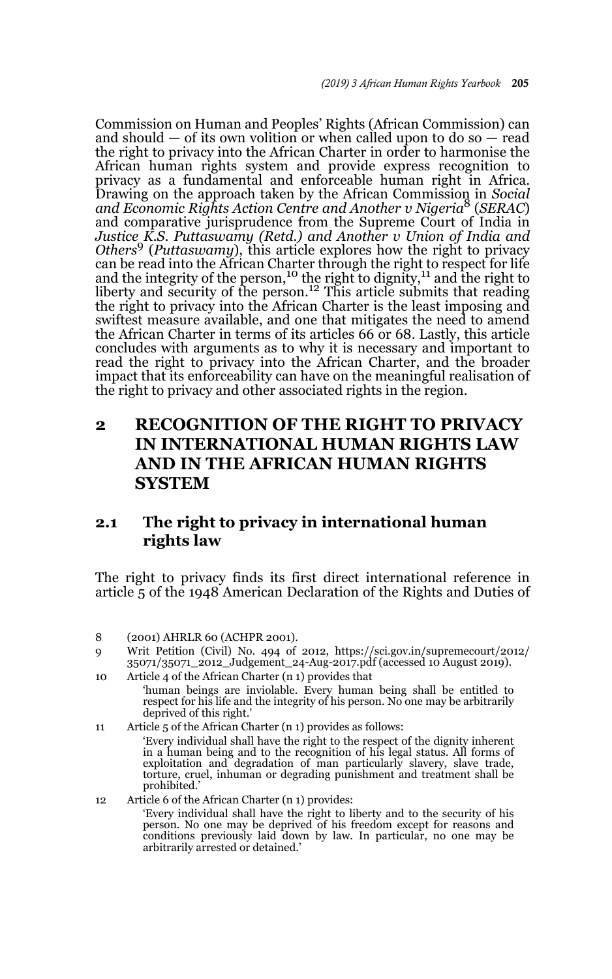Commission on Human and Peoples' Rights (African Commission) can and should  $-$  of its own volition or when called upon to do so  $-$  read the right to privacy into the African Charter in order to harmonise the African human rights system and provide express recognition to privacy as a fundamental and enforceable human right in Africa. Drawing on the approach taken by the African Commission in *Social and Economic Rights Action Centre and Another v Nigeria*<sup>8</sup> (*SERAC*) and comparative jurisprudence from the Supreme Court of India in *Justice K.S. Puttaswamy (Retd.) and Another v Union of India and Others*<sup>9</sup> (*Puttaswamy*), this article explores how the right to privacy can be read into the African Charter through the right to respect for life and the integrity of the person,<sup>10</sup> the right to dignity,<sup>11</sup> and the right to liberty and security of the person,<sup>12</sup> This article submits that reading the right to privacy into the African Charter is the least imposing and swiftest measure available, and one that mitigates the need to amend the African Charter in terms of its articles 66 or 68. Lastly, this article concludes with arguments as to why it is necessary and important to read the right to privacy into the African Charter, and the broader impact that its enforceability can have on the meaningful realisation of the right to privacy and other associated rights in the region.

# **2 RECOGNITION OF THE RIGHT TO PRIVACY IN INTERNATIONAL HUMAN RIGHTS LAW AND IN THE AFRICAN HUMAN RIGHTS SYSTEM**

## **2.1 The right to privacy in international human rights law**

The right to privacy finds its first direct international reference in article 5 of the 1948 American Declaration of the Rights and Duties of

- 9 Writ Petition (Civil) No. 494 of 2012, https://sci.gov.in/supremecourt/2012/ 35071/35071\_2012\_Judgement\_24-Aug-2017.pdf (accessed 10 August 2019).
- 10 Article 4 of the African Charter (n 1) provides that 'human beings are inviolable. Every human being shall be entitled to respect for his life and the integrity of his person. No one may be arbitrarily deprived of this right.'
- 11 Article 5 of the African Charter (n 1) provides as follows: 'Every individual shall have the right to the respect of the dignity inherent in a human being and to the recognition of his legal status. All forms of exploitation and degradation of man particularly slavery, slave trade, torture, cruel, inhuman or degrading punishment and treatment shall be prohibited.'

12 Article 6 of the African Charter (n 1) provides:

'Every individual shall have the right to liberty and to the security of his person. No one may be deprived of his freedom except for reasons and conditions previously laid down by law. In particular, no one may be arbitrarily arrested or detained.'

<sup>8 (2001)</sup> AHRLR 60 (ACHPR 2001).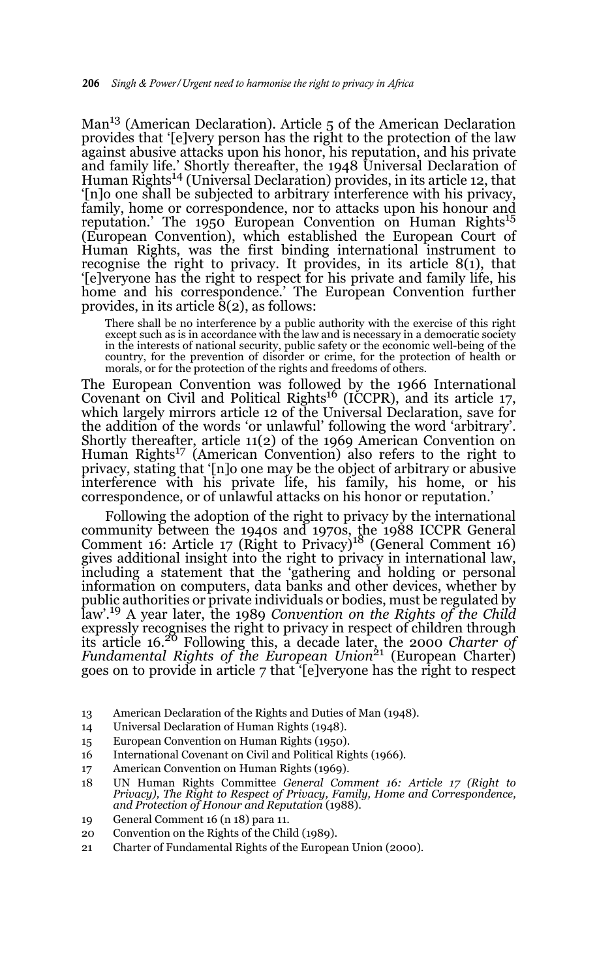Man<sup>13</sup> (American Declaration). Article 5 of the American Declaration provides that '[e]very person has the right to the protection of the law against abusive attacks upon his honor, his reputation, and his private and family life.' Shortly thereafter, the 1948 Universal Declaration of Human Rights<sup>14</sup> (Universal Declaration) provides, in its article 12, that '[n]o one shall be subjected to arbitrary interference with his privacy, family, home or correspondence, nor to attacks upon his honour and reputation.' The 1950 European Convention on Human Rights<sup>15</sup> (European Convention), which established the European Court of Human Rights, was the first binding international instrument to recognise the right to privacy. It provides, in its article 8(1), that '[e]veryone has the right to respect for his private and family life, his home and his correspondence.' The European Convention further provides, in its article 8(2), as follows:

There shall be no interference by a public authority with the exercise of this right except such as is in accordance with the law and is necessary in a democratic society in the interests of national security, public safety or the economic well-being of the country, for the prevention of disorder or crime, for the protection of health or morals, or for the protection of the rights and freedoms of others.

The European Convention was followed by the 1966 International Covenant on Civil and Political Rights<sup>16</sup> (ICCPR), and its article 17, which largely mirrors article 12 of the Universal Declaration, save for the addition of the words 'or unlawful' following the word 'arbitrary'. Shortly thereafter, article 11(2) of the 1969 American Convention on Human Rights<sup>17</sup> (American Convention) also refers to the right to privacy, stating that '[n]o one may be the object of arbitrary or abusive interference with his private life, his family, his home, or his correspondence, or of unlawful attacks on his honor or reputation.'

Following the adoption of the right to privacy by the international community between the 1940s and 1970s, the 1988 ICCPR General Comment 16: Article 17 (Right to Privacy)18 (General Comment 16) gives additional insight into the right to privacy in international law, including a statement that the 'gathering and holding or personal information on computers, data banks and other devices, whether by public authorities or private individuals or bodies, must be regulated by law'.19 A year later, the 1989 *Convention on the Rights of the Child* expressly recognises the right to privacy in respect of children through its article 16.20 Following this, a decade later, the 2000 *Charter of Fundamental Rights of the European Union*21 (European Charter) goes on to provide in article 7 that '[e]veryone has the right to respect

- 13 American Declaration of the Rights and Duties of Man (1948).
- 14 Universal Declaration of Human Rights (1948).
- 15 European Convention on Human Rights (1950).
- 16 International Covenant on Civil and Political Rights (1966).
- 17 American Convention on Human Rights (1969).
- 18 UN Human Rights Committee *General Comment 16: Article 17 (Right to Privacy), The Right to Respect of Privacy, Family, Home and Correspondence, and Protection of Honour and Reputation* (1988).
- 19 General Comment 16 (n 18) para 11.
- 20 Convention on the Rights of the Child (1989).
- 21 Charter of Fundamental Rights of the European Union (2000).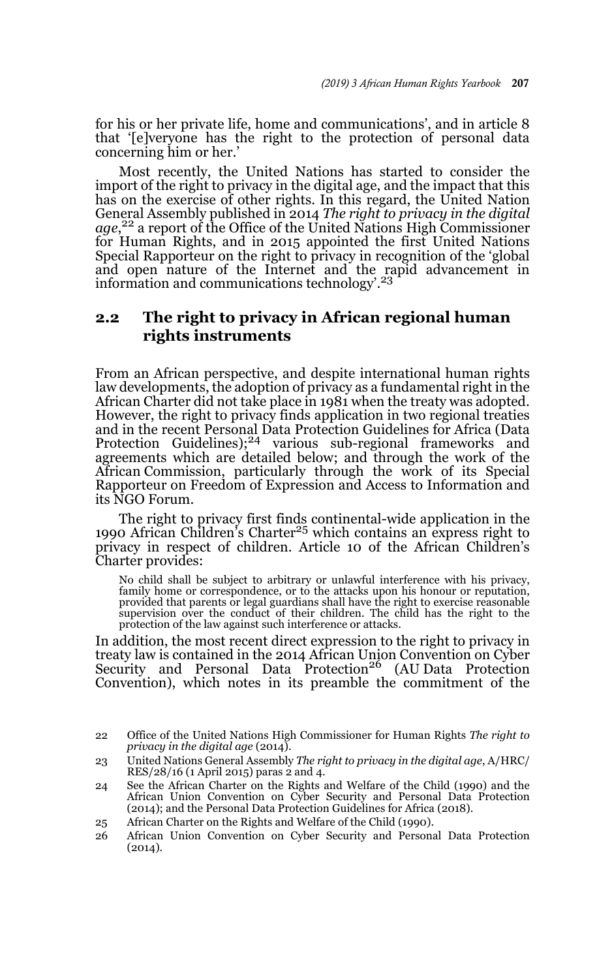for his or her private life, home and communications', and in article 8 that '[e]veryone has the right to the protection of personal data concerning him or her.'

Most recently, the United Nations has started to consider the import of the right to privacy in the digital age, and the impact that this has on the exercise of other rights. In this regard, the United Nation General Assembly published in 2014 *The right to privacy in the digital* zonal *research* product in Every 1 the right to private and algetial age,<sup>22</sup> a report of the Office of the United Nations High Commissioner for Human Rights, and in 2015 appointed the first United Nations Special Rapporteur on the right to privacy in recognition of the 'global and open nature of the Internet and the rapid advancement in information and communications technology'.<sup>23</sup>

### **2.2 The right to privacy in African regional human rights instruments**

From an African perspective, and despite international human rights law developments, the adoption of privacy as a fundamental right in the African Charter did not take place in 1981 when the treaty was adopted. However, the right to privacy finds application in two regional treaties and in the recent Personal Data Protection Guidelines for Africa (Data Protection Guidelines);<sup>24</sup> various sub-regional frameworks and agreements which are detailed below; and through the work of the African Commission, particularly through the work of its Special Rapporteur on Freedom of Expression and Access to Information and its NGO Forum.

The right to privacy first finds continental-wide application in the 1990 African Children's Charter<sup>25</sup> which contains an express right to privacy in respect of children. Article 10 of the African Children's Charter provides:

No child shall be subject to arbitrary or unlawful interference with his privacy, family home or correspondence, or to the attacks upon his honour or reputation, provided that parents or legal guardians shall have the right to exercise reasonable supervision over the conduct of their children. The child has the right to the protection of the law against such interference or attacks.

In addition, the most recent direct expression to the right to privacy in treaty law is contained in the 2014 African Union Convention on Cyber Security and Personal Data Protection<sup>26</sup> (AU Data Protection Convention), which notes in its preamble the commitment of the

- 25 African Charter on the Rights and Welfare of the Child (1990).
- 26 African Union Convention on Cyber Security and Personal Data Protection (2014).

<sup>22</sup> Office of the United Nations High Commissioner for Human Rights *The right to privacy in the digital age* (2014).

<sup>23</sup> United Nations General Assembly *The right to privacy in the digital age*, A/HRC/ RES/28/16 (1 April 2015) paras 2 and 4.

<sup>24</sup> See the African Charter on the Rights and Welfare of the Child (1990) and the African Union Convention on Cyber Security and Personal Data Protection (2014); and the Personal Data Protection Guidelines for Africa (2018).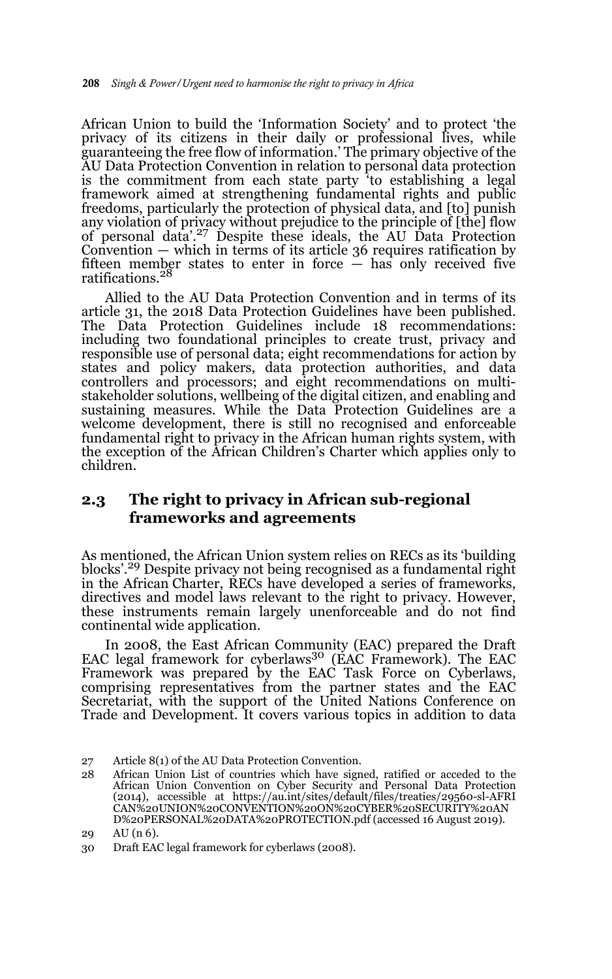African Union to build the 'Information Society' and to protect 'the privacy of its citizens in their daily or professional lives, while guaranteeing the free flow of information.' The primary objective of the AU Data Protection Convention in relation to personal data protection is the commitment from each state party 'to establishing a legal framework aimed at strengthening fundamental rights and public freedoms, particularly the protection of physical data, and [to] punish any violation of privacy without prejudice to the principle of [the] flow<br>of personal data'.<sup>27</sup> Despite these ideals, the AU Data Protection Convention — which in terms of its article 36 requires ratification by fifteen member states to enter in force — has only received five ratifications.28

Allied to the AU Data Protection Convention and in terms of its article 31, the 2018 Data Protection Guidelines have been published. The Data Protection Guidelines include 18 recommendations: including two foundational principles to create trust, privacy and responsible use of personal data; eight recommendations for action by states and policy makers, data protection authorities, and data controllers and processors; and eight recommendations on multistakeholder solutions, wellbeing of the digital citizen, and enabling and sustaining measures. While the Data Protection Guidelines are a welcome development, there is still no recognised and enforceable fundamental right to privacy in the African human rights system, with the exception of the African Children's Charter which applies only to children.

### **2.3 The right to privacy in African sub-regional frameworks and agreements**

As mentioned, the African Union system relies on RECs as its 'building blocks'.29 Despite privacy not being recognised as a fundamental right in the African Charter, RECs have developed a series of frameworks, directives and model laws relevant to the right to privacy. However, these instruments remain largely unenforceable and do not find continental wide application.

In 2008, the East African Community (EAC) prepared the Draft<br>EAC legal framework for cyberlaws<sup>30</sup> (EAC Framework). The EAC Framework was prepared by the EAC Task Force on Cyberlaws, comprising representatives from the partner states and the EAC Secretariat, with the support of the United Nations Conference on Trade and Development. It covers various topics in addition to data

<sup>27</sup> Article 8(1) of the AU Data Protection Convention.

<sup>28</sup> African Union List of countries which have signed, ratified or acceded to the African Union Convention on Cyber Security and Personal Data Protection (2014), accessible at https://au.int/sites/default/files/treaties/29560-sl-AFRI CAN%20UNION%20CONVENTION%20ON%20CYBER%20SECURITY%20AN D%20PERSONAL%20DATA%20PROTECTION.pdf (accessed 16 August 2019).

<sup>29</sup> AU (n 6).

<sup>30</sup> Draft EAC legal framework for cyberlaws (2008).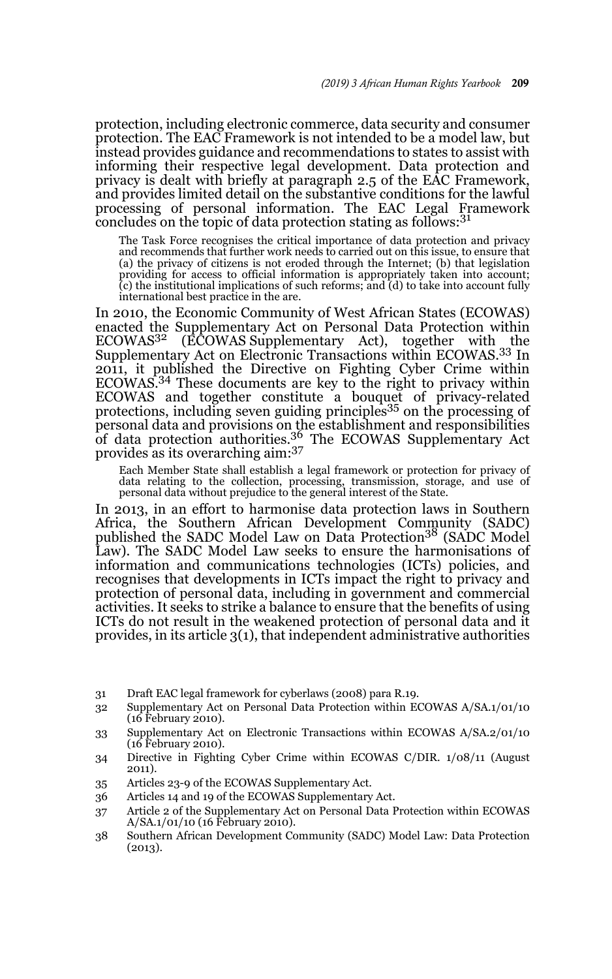protection, including electronic commerce, data security and consumer protection. The EAC Framework is not intended to be a model law, but instead provides guidance and recommendations to states to assist with informing their respective legal development. Data protection and privacy is dealt with briefly at paragraph 2.5 of the EAC Framework, and provides limited detail on the substantive conditions for the lawful processing of personal information. The EAC Legal Framework concludes on the topic of data protection stating as follows:<sup>31</sup>

The Task Force recognises the critical importance of data protection and privacy and recommends that further work needs to carried out on this issue, to ensure that (a) the privacy of citizens is not eroded through the Internet; (b) that legislation providing for access to official information is appropriately taken into account; (c) the institutional implications of such reforms; and (d) to take into account fully international best practice in the are.

In 2010, the Economic Community of West African States (ECOWAS) enacted the Supplementary Act on Personal Data Protection within ECOWAS<sup>32</sup> (ECOWAS Supplementary Act), together with the Supplementary Act on Electronic Transactions within ECOWAS.33 In 2011, it published the Directive on Fighting Cyber Crime within  $ECOWAS<sup>34</sup>$  These documents are key to the right to privacy within ECOWAS and together constitute a bouquet of privacy-related protections, including seven guiding principles<sup>35</sup> on the processing of personal data and provisions on the establishment and responsibilities of data protection authorities.36 The ECOWAS Supplementary Act provides as its overarching aim:<sup>37</sup>

Each Member State shall establish a legal framework or protection for privacy of data relating to the collection, processing, transmission, storage, and use of personal data without prejudice to the general interest of the State.

In 2013, in an effort to harmonise data protection laws in Southern Africa, the Southern African Development Community (SADC) published the SADC Model Law on Data Protection<sup>38</sup> (SADC Model Law). The SADC Model Law seeks to ensure the harmonisations of information and communications technologies (ICTs) policies, and recognises that developments in ICTs impact the right to privacy and protection of personal data, including in government and commercial activities. It seeks to strike a balance to ensure that the benefits of using ICTs do not result in the weakened protection of personal data and it provides, in its article 3(1), that independent administrative authorities

- 31 Draft EAC legal framework for cyberlaws (2008) para R.19.
- 32 Supplementary Act on Personal Data Protection within ECOWAS A/SA.1/01/10 (16 February 2010).

- 35 Articles 23-9 of the ECOWAS Supplementary Act.
- 36 Articles 14 and 19 of the ECOWAS Supplementary Act.
- 37 Article 2 of the Supplementary Act on Personal Data Protection within ECOWAS A/SA.1/01/10 (16 February 2010).
- 38 Southern African Development Community (SADC) Model Law: Data Protection  $(2013).$

<sup>33</sup> Supplementary Act on Electronic Transactions within ECOWAS A/SA.2/01/10 (16 February 2010).

<sup>34</sup> Directive in Fighting Cyber Crime within ECOWAS C/DIR. 1/08/11 (August 2011).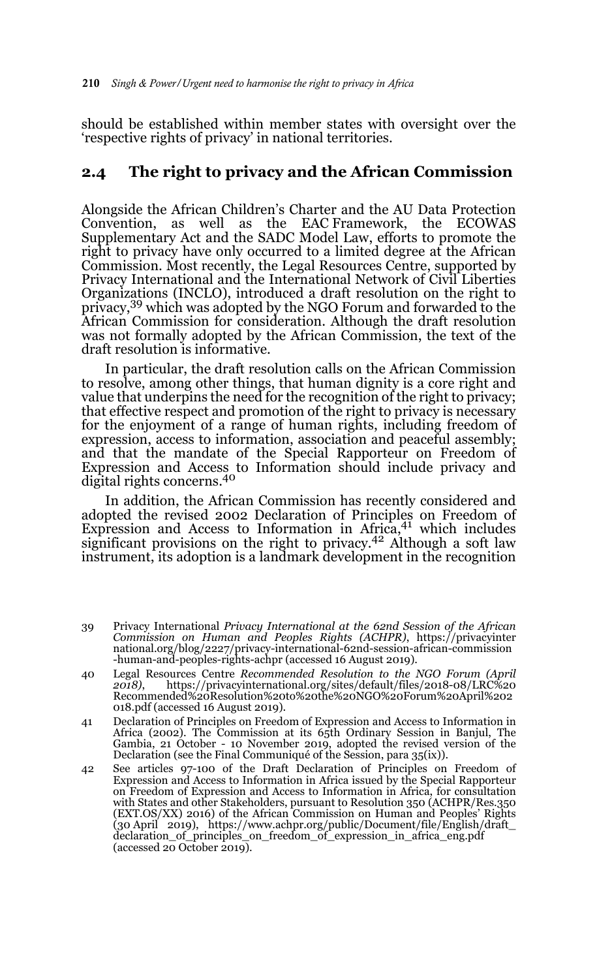should be established within member states with oversight over the 'respective rights of privacy' in national territories.

### **2.4 The right to privacy and the African Commission**

Alongside the African Children's Charter and the AU Data Protection Convention, as well as the EAC Framework, the ECOWAS Supplementary Act and the SADC Model Law, efforts to promote the right to privacy have only occurred to a limited degree at the African Commission. Most recently, the Legal Resources Centre, supported by Privacy International and the International Network of Civil Liberties Organizations (INCLO), introduced a draft resolution on the right to privacy,<sup>39</sup> which was adopted by the NGO Forum and forwarded to the African Commission for consideration. Although the draft resolution was not formally adopted by the African Commission, the text of the draft resolution is informative.

In particular, the draft resolution calls on the African Commission to resolve, among other things, that human dignity is a core right and value that underpins the need for the recognition of the right to privacy; that effective respect and promotion of the right to privacy is necessary for the enjoyment of a range of human rights, including freedom of expression, access to information, association and peaceful assembly; and that the mandate of the Special Rapporteur on Freedom of Expression and Access to Information should include privacy and digital rights concerns.40

In addition, the African Commission has recently considered and adopted the revised 2002 Declaration of Principles on Freedom of Expression and Access to Information in Africa,<sup>41</sup> which includes significant provisions on the right to privacy.<sup>42</sup> Although a soft law instrument, its adoption is a landmark development in the recognition

- 39 Privacy International *Privacy International at the 62nd Session of the African Commission on Human and Peoples Rights (ACHPR)*, https://privacyinter national.org/blog/2227/privacy-international-62nd-session-african-commission -human-and-peoples-rights-achpr (accessed 16 August 2019).
- 40 Legal Resources Centre *Recommended Resolution to the NGO Forum (April 2018)*, https://privacyinternational.org/sites/default/files/2018-08/LRC%20 Recommended%20Resolution%20to%20the%20NGO%20Forum%20April%202 018.pdf (accessed 16 August 2019).
- 41 Declaration of Principles on Freedom of Expression and Access to Information in Africa (2002). The Commission at its 65th Ordinary Session in Banjul, The Gambia, 21 October - 10 November 2019, adopted the revised version of the Declaration (see the Final Communiqué of the Session, para 35(ix)).

42 See articles 97-100 of the Draft Declaration of Principles on Freedom of Expression and Access to Information in Africa issued by the Special Rapporteur on Freedom of Expression and Access to Information in Africa, for consultation with States and other Stakeholders, pursuant to Resolution 350 (ACHPR/Res.350 (EXT.OS/XX) 2016) of the African Commission on Human and Peoples' Rights (30 April 2019), https://www.achpr.org/public/Document/file/English/draft\_ declaration\_of\_principles\_on\_freedom\_of\_expression\_in\_africa\_eng.pdf (accessed 20 October 2019).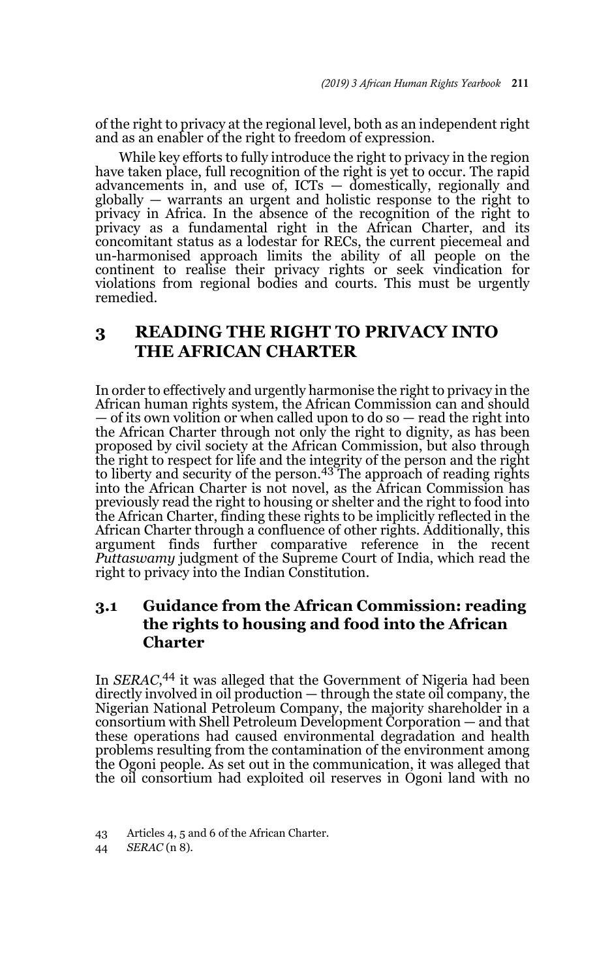of the right to privacy at the regional level, both as an independent right and as an enabler of the right to freedom of expression.

While key efforts to fully introduce the right to privacy in the region have taken place, full recognition of the right is yet to occur. The rapid advancements in, and use of, ICTs — domestically, regionally and globally — warrants an urgent and holistic response to the right to privacy in Africa. In the absence of the recognition of the right to privacy as a fundamental right in the African Charter, and its concomitant status as a lodestar for RECs, the current piecemeal and un-harmonised approach limits the ability of all people on the continent to realise their privacy rights or seek vindication for violations from regional bodies and courts. This must be urgently remedied.

# **3 READING THE RIGHT TO PRIVACY INTO THE AFRICAN CHARTER**

In order to effectively and urgently harmonise the right to privacy in the African human rights system, the African Commission can and should — of its own volition or when called upon to do so — read the right into the African Charter through not only the right to dignity, as has been proposed by civil society at the African Commission, but also through the right to respect for life and the integrity of the person and the right to liberty and security of the person.43 The approach of reading rights into the African Charter is not novel, as the African Commission has previously read the right to housing or shelter and the right to food into the African Charter, finding these rights to be implicitly reflected in the African Charter through a confluence of other rights. Additionally, this argument finds further comparative reference in the recent *Puttaswamy* judgment of the Supreme Court of India, which read the right to privacy into the Indian Constitution.

## **3.1 Guidance from the African Commission: reading the rights to housing and food into the African Charter**

In *SERAC*, 44 it was alleged that the Government of Nigeria had been directly involved in oil production — through the state oil company, the Nigerian National Petroleum Company, the majority shareholder in a consortium with Shell Petroleum Development Corporation — and that these operations had caused environmental degradation and health problems resulting from the contamination of the environment among the Ogoni people. As set out in the communication, it was alleged that the oil consortium had exploited oil reserves in Ogoni land with no

44 *SERAC* (n 8).

<sup>43</sup> Articles 4, 5 and 6 of the African Charter.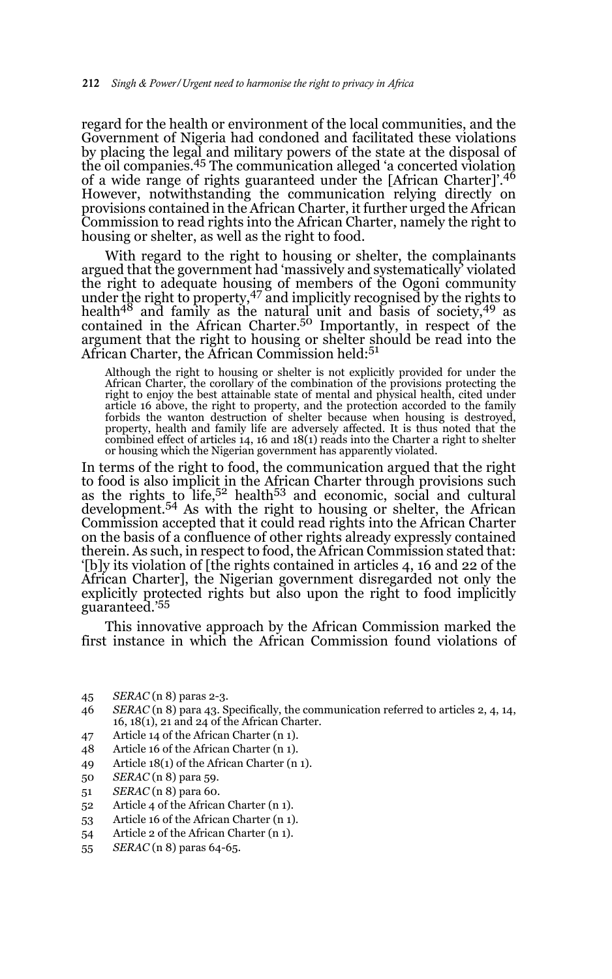regard for the health or environment of the local communities, and the Government of Nigeria had condoned and facilitated these violations by placing the legal and military powers of the state at the disposal of the oil companies.45 The communication alleged 'a concerted violation of a wide range of rights guaranteed under the [African Charter]'.46 However, notwithstanding the communication relying directly on provisions contained in the African Charter, it further urged the African Commission to read rights into the African Charter, namely the right to housing or shelter, as well as the right to food.

With regard to the right to housing or shelter, the complainants argued that the government had 'massively and systematically' violated the right to adequate housing of members of the Ogoni community under the right to property,  $47$  and implicitly recognised by the rights to health<sup>48</sup> and family as the natural unit and basis of society,<sup>49</sup> as contained in the African Charter.50 Importantly, in respect of the argument that the right to housing or shelter should be read into the African Charter, the African Commission held:<sup>51</sup>

Although the right to housing or shelter is not explicitly provided for under the African Charter, the corollary of the combination of the provisions protecting the right to enjoy the best attainable state of mental and physical health, cited under article 16 above, the right to property, and the protection accorded to the family forbids the wanton destruction of shelter because when housing is destroyed, property, health and family life are adversely affected. It is thus noted that the combined effect of articles 14, 16 and 18(1) reads into the Charter a right to shelter or housing which the Nigerian government has apparently violated.

In terms of the right to food, the communication argued that the right to food is also implicit in the African Charter through provisions such as the rights to life, $5<sup>2</sup>$  health $5<sup>3</sup>$  and economic, social and cultural development.54 As with the right to housing or shelter, the African Commission accepted that it could read rights into the African Charter on the basis of a confluence of other rights already expressly contained therein. As such, in respect to food, the African Commission stated that: '[b]y its violation of [the rights contained in articles 4, 16 and 22 of the African Charter], the Nigerian government disregarded not only the explicitly protected rights but also upon the right to food implicitly guaranteed.'55

This innovative approach by the African Commission marked the first instance in which the African Commission found violations of

- 45 *SERAC* (n 8) paras 2-3.
- 46 *SERAC* (n 8) para 43. Specifically, the communication referred to articles 2, 4, 14, 16, 18(1), 21 and 24 of the African Charter.
- 47 Article 14 of the African Charter (n 1).
- 48 Article 16 of the African Charter (n 1).
- 49 Article 18(1) of the African Charter (n 1).
- 50 *SERAC* (n 8) para 59.
- 51 *SERAC* (n 8) para 60.
- 52 Article 4 of the African Charter (n 1).
- 53 Article 16 of the African Charter (n 1).
- 54 Article 2 of the African Charter (n 1).
- 55 *SERAC* (n 8) paras 64-65.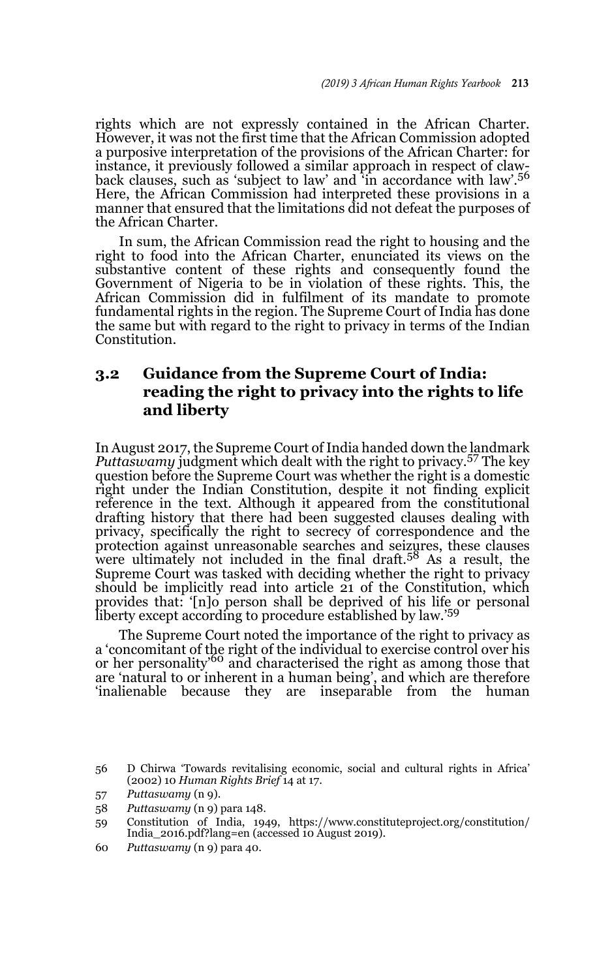rights which are not expressly contained in the African Charter. However, it was not the first time that the African Commission adopted a purposive interpretation of the provisions of the African Charter: for instance, it previously followed a similar approach in respect of clawback clauses, such as 'subject to law' and 'in accordance with law'.<sup>56</sup> Here, the African Commission had interpreted these provisions in a manner that ensured that the limitations did not defeat the purposes of the African Charter.

In sum, the African Commission read the right to housing and the right to food into the African Charter, enunciated its views on the substantive content of these rights and consequently found the Government of Nigeria to be in violation of these rights. This, the African Commission did in fulfilment of its mandate to promote fundamental rights in the region. The Supreme Court of India has done the same but with regard to the right to privacy in terms of the Indian Constitution.

### **3.2 Guidance from the Supreme Court of India: reading the right to privacy into the rights to life and liberty**

In August 2017, the Supreme Court of India handed down the landmark *Puttaswamy* judgment which dealt with the right to privacy.57 The key question before the Supreme Court was whether the right is a domestic right under the Indian Constitution, despite it not finding explicit reference in the text. Although it appeared from the constitutional drafting history that there had been suggested clauses dealing with privacy, specifically the right to secrecy of correspondence and the protection against unreasonable searches and seizures, these clauses were ultimately not included in the final draft.<sup>58</sup> As a result, the Supreme Court was tasked with deciding whether the right to privacy should be implicitly read into article 21 of the Constitution, which provides that: '[n]o person shall be deprived of his life or personal liberty except according to procedure established by law.'<sup>59</sup>

The Supreme Court noted the importance of the right to privacy as a 'concomitant of the right of the individual to exercise control over his or her personality<sup>'60</sup> and characterised the right as among those that are 'natural to or inherent in a human being', and which are therefore 'inalienable because they are inseparable from the human

60 *Puttaswamy* (n 9) para 40.

<sup>56</sup> D Chirwa 'Towards revitalising economic, social and cultural rights in Africa' (2002) 10 *Human Rights Brief* 14 at 17.

<sup>57</sup> *Puttaswamy* (n 9).

<sup>58</sup> *Puttaswamy* (n 9) para 148.

<sup>59</sup> Constitution of India, 1949, https://www.constituteproject.org/constitution/ India\_2016.pdf?lang=en (accessed 10 August 2019).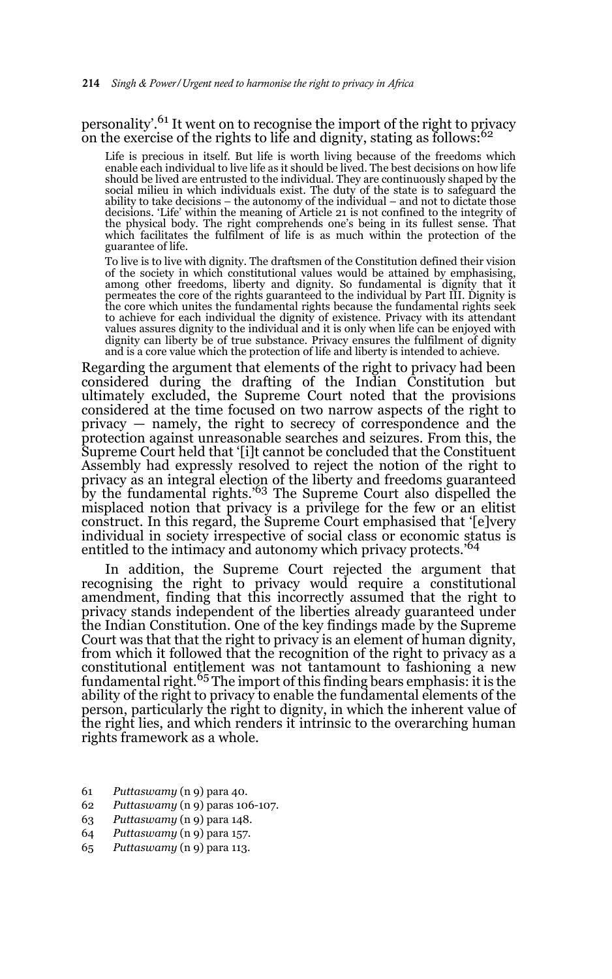#### personality'.<sup>61</sup> It went on to recognise the import of the right to privacy on the exercise of the rights to life and dignity, stating as follows:  $62$

Life is precious in itself. But life is worth living because of the freedoms which enable each individual to live life as it should be lived. The best decisions on how life should be lived are entrusted to the individual. They are continuously shaped by the social milieu in which individuals exist. The duty of the state is to safeguard the ability to take decisions – the autonomy of the individual – and not to dictate those decisions. 'Life' within the meaning of Article 21 is not confined to the integrity of the physical body. The right comprehends one's being in its fullest sense. That which facilitates the fulfilment of life is as much within the protection of the guarantee of life.

To live is to live with dignity. The draftsmen of the Constitution defined their vision of the society in which constitutional values would be attained by emphasising, among other freedoms, liberty and dignity. So fundamental is dignity that it permeates the core of the rights guaranteed to the individual by Part III. Dignity is the core which unites the fundamental rights because the fundamental rights seek to achieve for each individual the dignity of existence. Privacy with its attendant values assures dignity to the individual and it is only when life can be enjoyed with dignity can liberty be of true substance. Privacy ensures the fulfilment of dignity and is a core value which the protection of life and liberty is intended to achieve.

Regarding the argument that elements of the right to privacy had been considered during the drafting of the Indian Constitution but ultimately excluded, the Supreme Court noted that the provisions considered at the time focused on two narrow aspects of the right to privacy — namely, the right to secrecy of correspondence and the protection against unreasonable searches and seizures. From this, the Supreme Court held that '[i]t cannot be concluded that the Constituent Assembly had expressly resolved to reject the notion of the right to privacy as an integral election of the liberty and freedoms guaranteed<br>by the fundamental rights.'<sup>63</sup> The Supreme Court also dispelled the misplaced notion that privacy is a privilege for the few or an elitist construct. In this regard, the Supreme Court emphasised that '[e]very individual in society irrespective of social class or economic status is entitled to the intimacy and autonomy which privacy protects.<sup>'64</sup>

In addition, the Supreme Court rejected the argument that recognising the right to privacy would require a constitutional amendment, finding that this incorrectly assumed that the right to privacy stands independent of the liberties already guaranteed under the Indian Constitution. One of the key findings made by the Supreme Court was that that the right to privacy is an element of human dignity, from which it followed that the recognition of the right to privacy as a constitutional entitlement was not tantamount to fashioning a new fundamental right.<sup>65</sup> The import of this finding bears emphasis: it is the ability of the right to privacy to enable the fundamental elements of the person, particularly the right to dignity, in which the inherent value of the right lies, and which renders it intrinsic to the overarching human rights framework as a whole.

- 61 *Puttaswamy* (n 9) para 40.
- 62 *Puttaswamy* (n 9) paras 106-107.
- 63 *Puttaswamy* (n 9) para 148.
- 64 *Puttaswamy* (n 9) para 157.
- 65 *Puttaswamy* (n 9) para 113.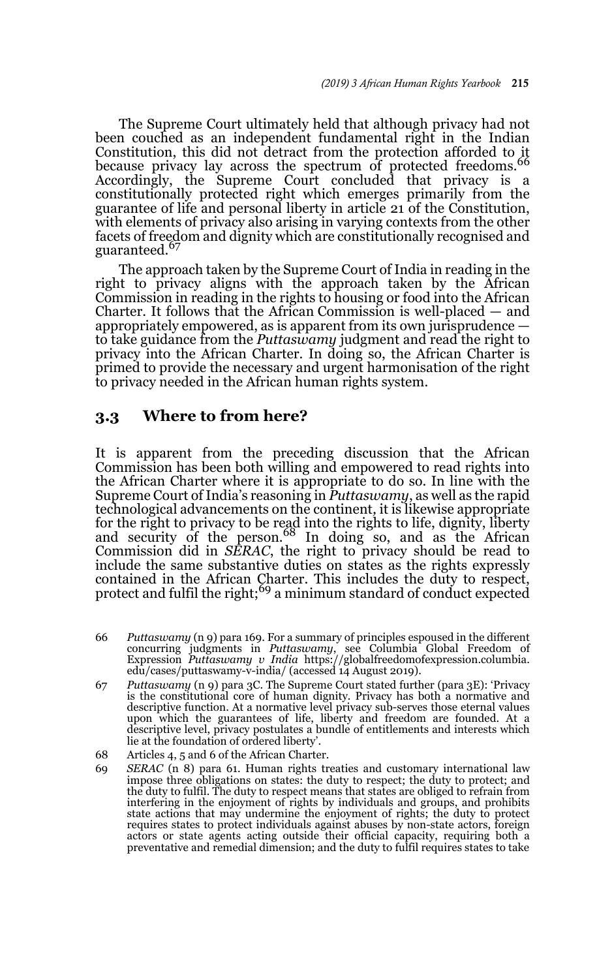The Supreme Court ultimately held that although privacy had not been couched as an independent fundamental right in the Indian Deen couched as an independent run enterpreted to it<br>Constitution, this did not detract from the protection afforded to it because privacy lay across the spectrum of protected freedoms. Accordingly, the Supreme Court concluded that privacy is a constitutionally protected right which emerges primarily from the guarantee of life and personal liberty in article 21 of the Constitution, with elements of privacy also arising in varying contexts from the other facets of freedom and dignity which are constitutionally recognised and guaranteed.<sup>67</sup>

The approach taken by the Supreme Court of India in reading in the right to privacy aligns with the approach taken by the African Commission in reading in the rights to housing or food into the African Charter. It follows that the African Commission is well-placed — and appropriately empowered, as is apparent from its own jurisprudence to take guidance from the *Puttaswamy* judgment and read the right to privacy into the African Charter. In doing so, the African Charter is primed to provide the necessary and urgent harmonisation of the right to privacy needed in the African human rights system.

#### **3.3 Where to from here?**

It is apparent from the preceding discussion that the African Commission has been both willing and empowered to read rights into the African Charter where it is appropriate to do so. In line with the Supreme Court of India's reasoning in *Puttaswamy*, as well as the rapid technological advancements on the continent*,* it is likewise appropriate for the right to privacy to be read into the rights to life, dignity, liberty and security of the person.<sup>68</sup> In doing so, and as the African Commission did in *SERAC*, the right to privacy should be read to include the same substantive duties on states as the rights expressly contained in the African Charter. This includes the duty to respect, protect and fulfil the right;<sup>69</sup> a minimum standard of conduct expected

- 66 *Puttaswamy* (n 9) para 169. For a summary of principles espoused in the different concurring judgments in *Puttaswamy*, see Columbia Global Freedom of Expression *Puttaswamy v India* https://globalfreedomofexpression.columbia. edu/cases/puttaswamy-v-india/ (accessed 14 August 2019).
- 67 *Puttaswamy* (n 9) para 3C. The Supreme Court stated further (para 3E): 'Privacy is the constitutional core of human dignity. Privacy has both a normative and descriptive function. At a normative level privacy sub-serves those eternal values upon which the guarantees of life, liberty and freedom are founded. At a descriptive level, privacy postulates a bundle of entitlements and interests which lie at the foundation of ordered liberty'.
- 68 Articles 4, 5 and 6 of the African Charter.
- 69 *SERAC* (n 8) para 61. Human rights treaties and customary international law impose three obligations on states: the duty to respect; the duty to protect; and the duty to fulfil. The duty to respect means that states are obliged to refrain from interfering in the enjoyment of rights by individuals and groups, and prohibits state actions that may undermine the enjoyment of rights; the duty to protect requires states to protect individuals against abuses by non-state actors, foreign actors or state agents acting outside their official capacity, requiring both a preventative and remedial dimension; and the duty to fulfil requires states to take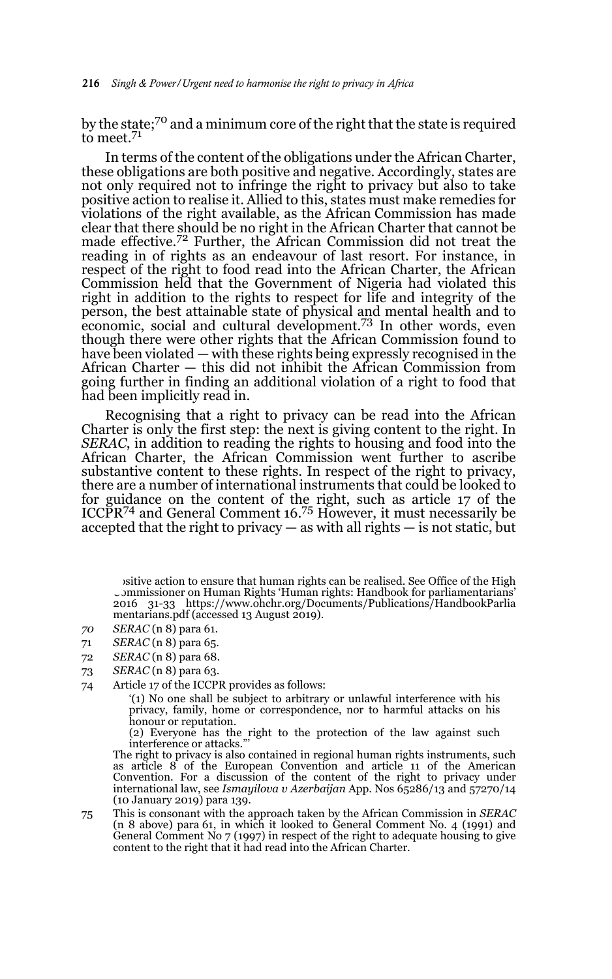by the state;70 and a minimum core of the right that the state is required to meet.<sup>71</sup>

In terms of the content of the obligations under the African Charter, these obligations are both positive and negative. Accordingly, states are not only required not to infringe the right to privacy but also to take positive action to realise it. Allied to this, states must make remedies for violations of the right available, as the African Commission has made clear that there should be no right in the African Charter that cannot be made effective.<sup>72</sup> Further, the African Commission did not treat the reading in of rights as an endeavour of last resort. For instance, in respect of the right to food read into the African Charter, the African Commission held that the Government of Nigeria had violated this right in addition to the rights to respect for life and integrity of the person, the best attainable state of physical and mental health and to economic, social and cultural development.<sup>73</sup> In other words, even though there were other rights that the African Commission found to have been violated — with these rights being expressly recognised in the African Charter — this did not inhibit the African Commission from going further in finding an additional violation of a right to food that had been implicitly read in.

Recognising that a right to privacy can be read into the African Charter is only the first step: the next is giving content to the right. In *SERAC*, in addition to reading the rights to housing and food into the African Charter, the African Commission went further to ascribe substantive content to these rights. In respect of the right to privacy, there are a number of international instruments that could be looked to for guidance on the content of the right, such as article 17 of the ICCPR74 and General Comment 16.75 However, it must necessarily be accepted that the right to privacy  $-$  as with all rights  $-$  is not static, but

*n* positive action to ensure that human rights can be realised. See Office of the High commissioner on Human Rights 'Human rights: Handbook for parliamentarians' 2016 31-33 https://www.ohchr.org/Documents/Publications/HandbookParlia mentarians.pdf (accessed 13 August 2019).

- *70 SERAC* (n 8) para 61.
- 71 *SERAC* (n 8) para 65.
- 72 *SERAC* (n 8) para 68.
- 73 *SERAC* (n 8) para 63.
- 74 Article 17 of the ICCPR provides as follows:

'(1) No one shall be subject to arbitrary or unlawful interference with his privacy, family, home or correspondence, nor to harmful attacks on his honour or reputation.

(2) Everyone has the right to the protection of the law against such interference or attacks.

The right to privacy is also contained in regional human rights instruments, such as article 8 of the European Convention and article 11 of the American Convention. For a discussion of the content of the right to privacy under international law, see *Ismayilova v Azerbaijan* App. Nos 65286/13 and 57270/14 (10 January 2019) para 139.

75 This is consonant with the approach taken by the African Commission in *SERAC* (n 8 above) para 61, in which it looked to General Comment No. 4 (1991) and General Comment No 7 (1997) in respect of the right to adequate housing to give content to the right that it had read into the African Charter.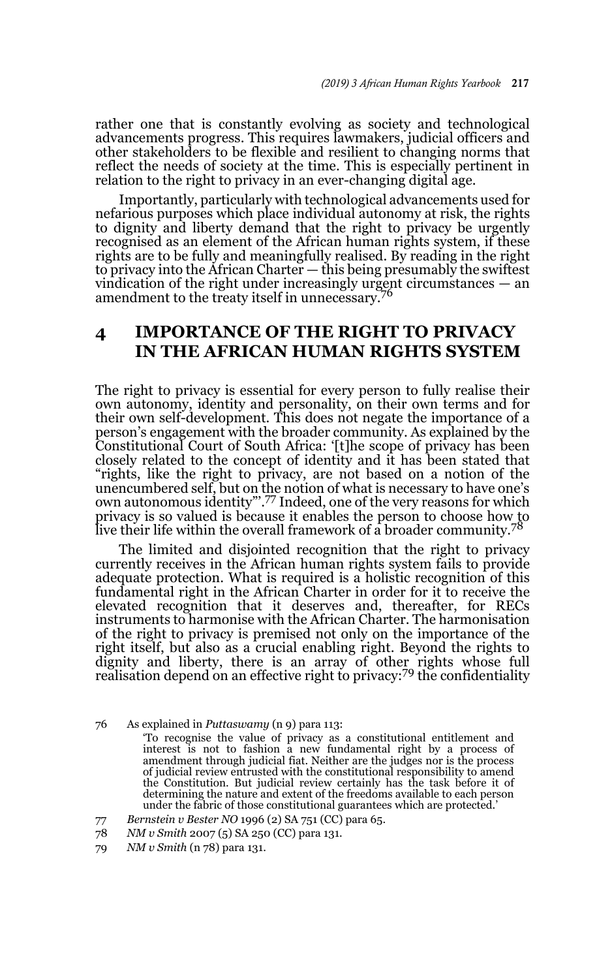rather one that is constantly evolving as society and technological advancements progress. This requires lawmakers, judicial officers and other stakeholders to be flexible and resilient to changing norms that reflect the needs of society at the time. This is especially pertinent in relation to the right to privacy in an ever-changing digital age.

Importantly, particularly with technological advancements used for nefarious purposes which place individual autonomy at risk, the rights to dignity and liberty demand that the right to privacy be urgently recognised as an element of the African human rights system, if these rights are to be fully and meaningfully realised. By reading in the right to privacy into the African Charter — this being presumably the swiftest vindication of the right under increasingly urgent circumstances — an amendment to the treaty itself in unnecessary.<sup>76</sup>

# **4 IMPORTANCE OF THE RIGHT TO PRIVACY IN THE AFRICAN HUMAN RIGHTS SYSTEM**

The right to privacy is essential for every person to fully realise their own autonomy, identity and personality, on their own terms and for their own self-development. This does not negate the importance of a person's engagement with the broader community. As explained by the Constitutional Court of South Africa: '[t]he scope of privacy has been closely related to the concept of identity and it has been stated that "rights, like the right to privacy, are not based on a notion of the unencumbered self, but on the notion of what is necessary to have one's own autonomous identity"'.77 Indeed, one of the very reasons for which privacy is so valued is because it enables the person to choose how to live their life within the overall framework of a broader community.<sup>78</sup>

The limited and disjointed recognition that the right to privacy currently receives in the African human rights system fails to provide adequate protection. What is required is a holistic recognition of this fundamental right in the African Charter in order for it to receive the elevated recognition that it deserves and, thereafter, for RECs instruments to harmonise with the African Charter. The harmonisation of the right to privacy is premised not only on the importance of the right itself, but also as a crucial enabling right. Beyond the rights to dignity and liberty, there is an array of other rights whose full realisation depend on an effective right to privacy:79 the confidentiality

<sup>76</sup> As explained in *Puttaswamy* (n 9) para 113: 'To recognise the value of privacy as a constitutional entitlement and interest is not to fashion a new fundamental right by a process of amendment through judicial fiat. Neither are the judges nor is the process of judicial review entrusted with the constitutional responsibility to amend the Constitution. But judicial review certainly has the task before it of determining the nature and extent of the freedoms available to each person under the fabric of those constitutional guarantees which are protected.'

<sup>77</sup> *Bernstein v Bester NO* 1996 (2) SA 751 (CC) para 65.

<sup>78</sup> *NM v Smith* 2007 (5) SA 250 (CC) para 131.

<sup>79</sup> *NM v Smith* (n 78) para 131.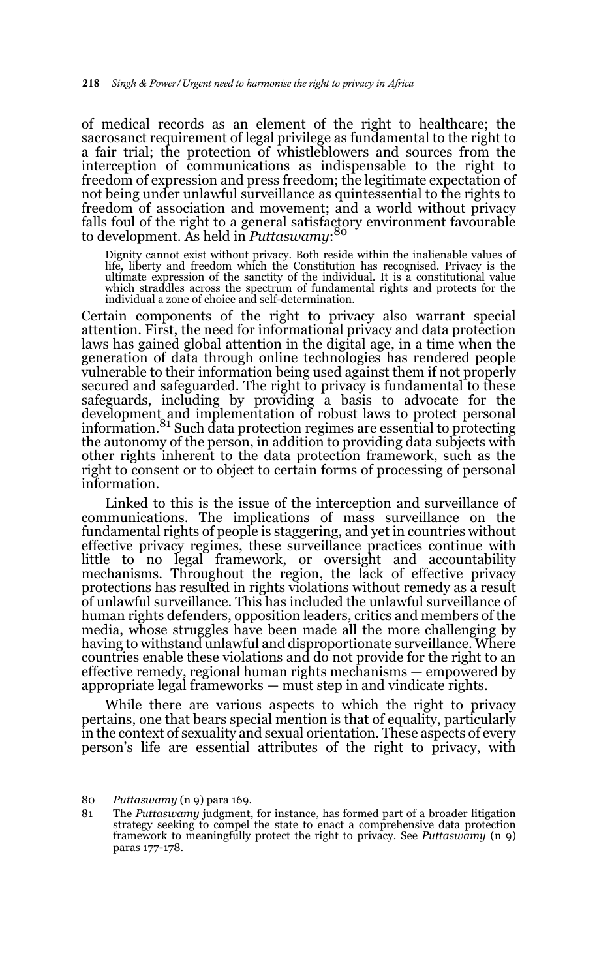of medical records as an element of the right to healthcare; the sacrosanct requirement of legal privilege as fundamental to the right to a fair trial; the protection of whistleblowers and sources from the interception of communications as indispensable to the right to freedom of expression and press freedom; the legitimate expectation of not being under unlawful surveillance as quintessential to the rights to freedom of association and movement; and a world without privacy falls foul of the right to a general satisfactory environment favourable to development. As held in *Puttaswamy*: 80

Dignity cannot exist without privacy. Both reside within the inalienable values of life, liberty and freedom which the Constitution has recognised. Privacy is the ultimate expression of the sanctity of the individual. It is a constitutional value which straddles across the spectrum of fundamental rights and protects for the individual a zone of choice and self-determination.

Certain components of the right to privacy also warrant special attention. First, the need for informational privacy and data protection laws has gained global attention in the digital age, in a time when the generation of data through online technologies has rendered people vulnerable to their information being used against them if not properly secured and safeguarded. The right to privacy is fundamental to these safeguards, including by providing a basis to advocate for the development and implementation of robust laws to protect personal information.81 Such data protection regimes are essential to protecting the autonomy of the person, in addition to providing data subjects with other rights inherent to the data protection framework, such as the right to consent or to object to certain forms of processing of personal information.

Linked to this is the issue of the interception and surveillance of communications. The implications of mass surveillance on the fundamental rights of people is staggering, and yet in countries without effective privacy regimes, these surveillance practices continue with little to no legal framework, or oversight and accountability mechanisms. Throughout the region, the lack of effective privacy protections has resulted in rights violations without remedy as a result of unlawful surveillance. This has included the unlawful surveillance of human rights defenders, opposition leaders, critics and members of the media, whose struggles have been made all the more challenging by having to withstand unlawful and disproportionate surveillance. Where countries enable these violations and do not provide for the right to an effective remedy, regional human rights mechanisms — empowered by appropriate legal frameworks — must step in and vindicate rights.

While there are various aspects to which the right to privacy pertains, one that bears special mention is that of equality, particularly in the context of sexuality and sexual orientation. These aspects of every person's life are essential attributes of the right to privacy, with

<sup>80</sup> *Puttaswamy* (n 9) para 169.

<sup>81</sup> The *Puttaswamy* judgment, for instance, has formed part of a broader litigation strategy seeking to compel the state to enact a comprehensive data protection framework to meaningfully protect the right to privacy. See *Puttaswamy* (n 9) paras 177-178.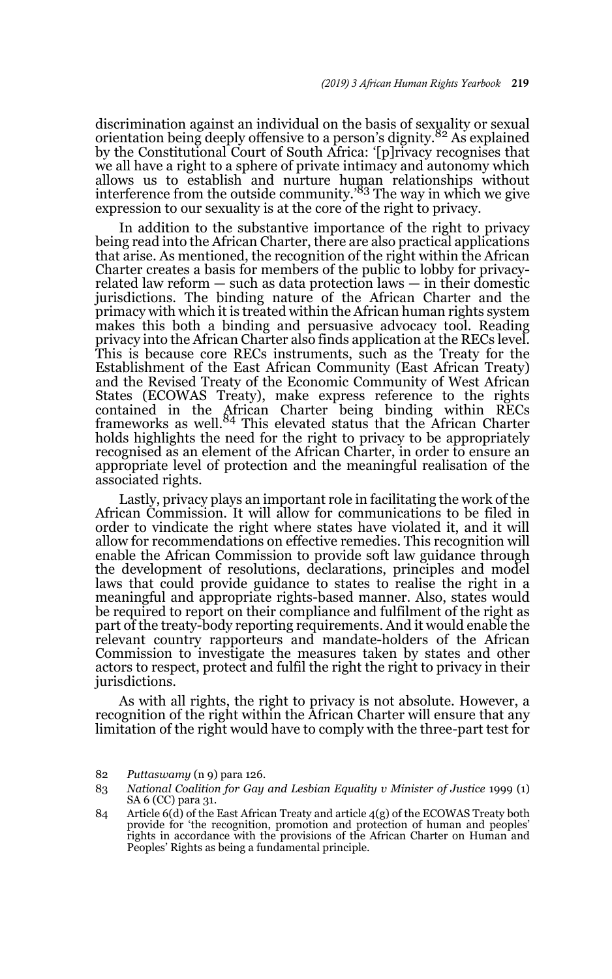discrimination against an individual on the basis of sexuality or sexual orientation being deeply offensive to a person's dignity.<sup>82</sup> As explained by the Constitutional Court of South Africa: '[p]rivacy recognises that we all have a right to a sphere of private intimacy and autonomy which allows us to establish and nurture human relationships without interference from the outside community.<sup>83</sup> The way in which we give expression to our sexuality is at the core of the right to privacy.

In addition to the substantive importance of the right to privacy being read into the African Charter, there are also practical applications that arise. As mentioned, the recognition of the right within the African Charter creates a basis for members of the public to lobby for privacyrelated law reform — such as data protection laws — in their domestic jurisdictions. The binding nature of the African Charter and the primacy with which it is treated within the African human rights system makes this both a binding and persuasive advocacy tool. Reading privacy into the African Charter also finds application at the RECs level. This is because core RECs instruments, such as the Treaty for the Establishment of the East African Community (East African Treaty) and the Revised Treaty of the Economic Community of West African States (ECOWAS Treaty), make express reference to the rights contained in the African Charter being binding within RECs<br>frameworks as well.<sup>84</sup> This elevated status that the African Charter holds highlights the need for the right to privacy to be appropriately recognised as an element of the African Charter, in order to ensure an appropriate level of protection and the meaningful realisation of the associated rights.

Lastly, privacy plays an important role in facilitating the work of the African Commission. It will allow for communications to be filed in order to vindicate the right where states have violated it, and it will allow for recommendations on effective remedies. This recognition will enable the African Commission to provide soft law guidance through the development of resolutions, declarations, principles and model laws that could provide guidance to states to realise the right in a meaningful and appropriate rights-based manner. Also, states would be required to report on their compliance and fulfilment of the right as part of the treaty-body reporting requirements. And it would enable the relevant country rapporteurs and mandate-holders of the African Commission to investigate the measures taken by states and other actors to respect, protect and fulfil the right the right to privacy in their jurisdictions.

As with all rights, the right to privacy is not absolute. However, a recognition of the right within the African Charter will ensure that any limitation of the right would have to comply with the three-part test for

<sup>82</sup> *Puttaswamy* (n 9) para 126.

<sup>83</sup> *National Coalition for Gay and Lesbian Equality v Minister of Justice* 1999 (1) SA 6 (CC) para 31.

<sup>84</sup> Article 6(d) of the East African Treaty and article 4(g) of the ECOWAS Treaty both provide for 'the recognition, promotion and protection of human and peoples' rights in accordance with the provisions of the African Charter on Human and Peoples' Rights as being a fundamental principle.